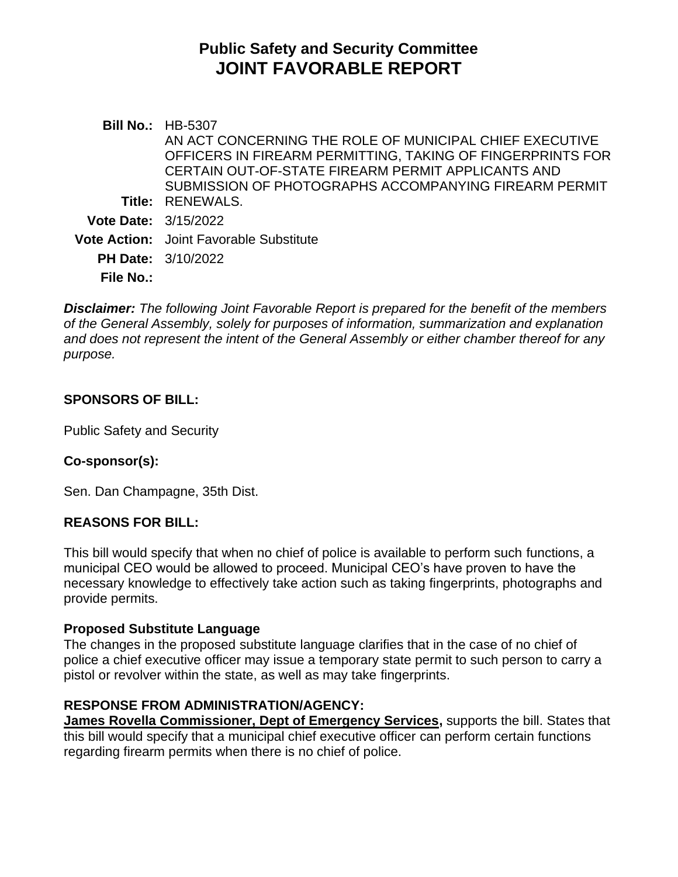# **Public Safety and Security Committee JOINT FAVORABLE REPORT**

**Bill No.:** HB-5307 **Title:** RENEWALS. AN ACT CONCERNING THE ROLE OF MUNICIPAL CHIEF EXECUTIVE OFFICERS IN FIREARM PERMITTING, TAKING OF FINGERPRINTS FOR CERTAIN OUT-OF-STATE FIREARM PERMIT APPLICANTS AND SUBMISSION OF PHOTOGRAPHS ACCOMPANYING FIREARM PERMIT **Vote Date:** 3/15/2022 **Vote Action:** Joint Favorable Substitute **PH Date:** 3/10/2022 **File No.:**

*Disclaimer: The following Joint Favorable Report is prepared for the benefit of the members of the General Assembly, solely for purposes of information, summarization and explanation and does not represent the intent of the General Assembly or either chamber thereof for any purpose.*

## **SPONSORS OF BILL:**

Public Safety and Security

# **Co-sponsor(s):**

Sen. Dan Champagne, 35th Dist.

## **REASONS FOR BILL:**

This bill would specify that when no chief of police is available to perform such functions, a municipal CEO would be allowed to proceed. Municipal CEO's have proven to have the necessary knowledge to effectively take action such as taking fingerprints, photographs and provide permits.

## **Proposed Substitute Language**

The changes in the proposed substitute language clarifies that in the case of no chief of police a chief executive officer may issue a temporary state permit to such person to carry a pistol or revolver within the state, as well as may take fingerprints.

# **RESPONSE FROM ADMINISTRATION/AGENCY:**

**James Rovella Commissioner, Dept of Emergency Services,** supports the bill. States that this bill would specify that a municipal chief executive officer can perform certain functions regarding firearm permits when there is no chief of police.